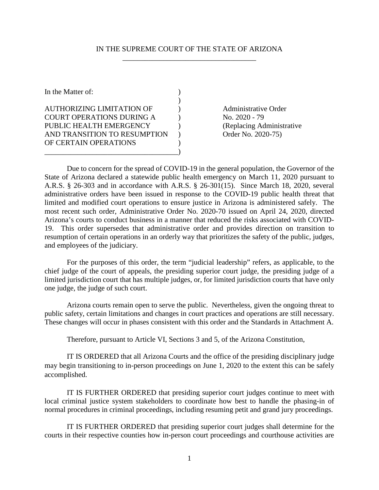#### IN THE SUPREME COURT OF THE STATE OF ARIZONA \_\_\_\_\_\_\_\_\_\_\_\_\_\_\_\_\_\_\_\_\_\_\_\_\_\_\_\_\_\_\_\_\_\_\_\_

| In the Matter of:                |  |
|----------------------------------|--|
|                                  |  |
| <b>AUTHORIZING LIMITATION OF</b> |  |
| <b>COURT OPERATIONS DURING A</b> |  |
| PUBLIC HEALTH EMERGENCY          |  |
| AND TRANSITION TO RESUMPTION     |  |
| OF CERTAIN OPERATIONS            |  |
|                                  |  |

Administrative Order No. 2020 - 79 (Replacing Administrative Order No. 2020-75)

Due to concern for the spread of COVID-19 in the general population, the Governor of the State of Arizona declared a statewide public health emergency on March 11, 2020 pursuant to A.R.S. § 26-303 and in accordance with A.R.S. § 26-301(15). Since March 18, 2020, several administrative orders have been issued in response to the COVID-19 public health threat that limited and modified court operations to ensure justice in Arizona is administered safely. The most recent such order, Administrative Order No. 2020-70 issued on April 24, 2020, directed Arizona's courts to conduct business in a manner that reduced the risks associated with COVID-19. This order supersedes that administrative order and provides direction on transition to resumption of certain operations in an orderly way that prioritizes the safety of the public, judges, and employees of the judiciary.

For the purposes of this order, the term "judicial leadership" refers, as applicable, to the chief judge of the court of appeals, the presiding superior court judge, the presiding judge of a limited jurisdiction court that has multiple judges, or, for limited jurisdiction courts that have only one judge, the judge of such court.

Arizona courts remain open to serve the public. Nevertheless, given the ongoing threat to public safety, certain limitations and changes in court practices and operations are still necessary. These changes will occur in phases consistent with this order and the Standards in Attachment A.

Therefore, pursuant to Article VI, Sections 3 and 5, of the Arizona Constitution,

IT IS ORDERED that all Arizona Courts and the office of the presiding disciplinary judge may begin transitioning to in-person proceedings on June 1, 2020 to the extent this can be safely accomplished.

IT IS FURTHER ORDERED that presiding superior court judges continue to meet with local criminal justice system stakeholders to coordinate how best to handle the phasing-in of normal procedures in criminal proceedings, including resuming petit and grand jury proceedings.

IT IS FURTHER ORDERED that presiding superior court judges shall determine for the courts in their respective counties how in-person court proceedings and courthouse activities are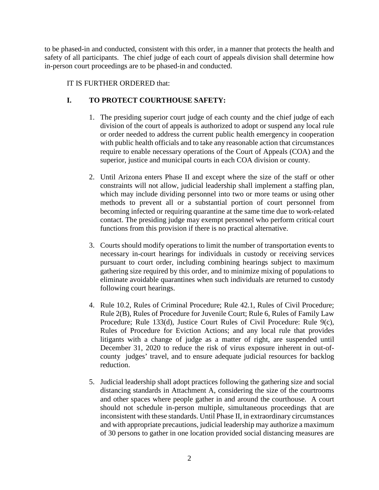to be phased-in and conducted, consistent with this order, in a manner that protects the health and safety of all participants. The chief judge of each court of appeals division shall determine how in-person court proceedings are to be phased-in and conducted.

## IT IS FURTHER ORDERED that:

# **I. TO PROTECT COURTHOUSE SAFETY:**

- 1. The presiding superior court judge of each county and the chief judge of each division of the court of appeals is authorized to adopt or suspend any local rule or order needed to address the current public health emergency in cooperation with public health officials and to take any reasonable action that circumstances require to enable necessary operations of the Court of Appeals (COA) and the superior, justice and municipal courts in each COA division or county.
- 2. Until Arizona enters Phase II and except where the size of the staff or other constraints will not allow, judicial leadership shall implement a staffing plan, which may include dividing personnel into two or more teams or using other methods to prevent all or a substantial portion of court personnel from becoming infected or requiring quarantine at the same time due to work-related contact. The presiding judge may exempt personnel who perform critical court functions from this provision if there is no practical alternative.
- 3. Courts should modify operations to limit the number of transportation events to necessary in-court hearings for individuals in custody or receiving services pursuant to court order, including combining hearings subject to maximum gathering size required by this order, and to minimize mixing of populations to eliminate avoidable quarantines when such individuals are returned to custody following court hearings.
- 4. Rule 10.2, Rules of Criminal Procedure; Rule 42.1, Rules of Civil Procedure; Rule 2(B), Rules of Procedure for Juvenile Court; Rule 6, Rules of Family Law Procedure; Rule 133(d), Justice Court Rules of Civil Procedure: Rule 9(c), Rules of Procedure for Eviction Actions; and any local rule that provides litigants with a change of judge as a matter of right, are suspended until December 31, 2020 to reduce the risk of virus exposure inherent in out-ofcounty judges' travel, and to ensure adequate judicial resources for backlog reduction.
- 5. Judicial leadership shall adopt practices following the gathering size and social distancing standards in Attachment A, considering the size of the courtrooms and other spaces where people gather in and around the courthouse. A court should not schedule in-person multiple, simultaneous proceedings that are inconsistent with these standards. Until Phase II, in extraordinary circumstances and with appropriate precautions, judicial leadership may authorize a maximum of 30 persons to gather in one location provided social distancing measures are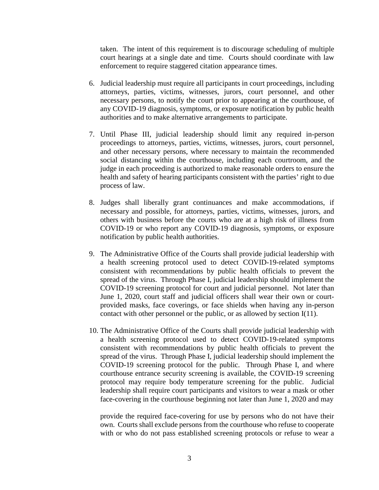taken. The intent of this requirement is to discourage scheduling of multiple court hearings at a single date and time. Courts should coordinate with law enforcement to require staggered citation appearance times.

- 6. Judicial leadership must require all participants in court proceedings, including attorneys, parties, victims, witnesses, jurors, court personnel, and other necessary persons, to notify the court prior to appearing at the courthouse, of any COVID-19 diagnosis, symptoms, or exposure notification by public health authorities and to make alternative arrangements to participate.
- 7. Until Phase III, judicial leadership should limit any required in-person proceedings to attorneys, parties, victims, witnesses, jurors, court personnel, and other necessary persons, where necessary to maintain the recommended social distancing within the courthouse, including each courtroom, and the judge in each proceeding is authorized to make reasonable orders to ensure the health and safety of hearing participants consistent with the parties' right to due process of law.
- 8. Judges shall liberally grant continuances and make accommodations, if necessary and possible, for attorneys, parties, victims, witnesses, jurors, and others with business before the courts who are at a high risk of illness from COVID-19 or who report any COVID-19 diagnosis, symptoms, or exposure notification by public health authorities.
- 9. The Administrative Office of the Courts shall provide judicial leadership with a health screening protocol used to detect COVID-19-related symptoms consistent with recommendations by public health officials to prevent the spread of the virus. Through Phase I, judicial leadership should implement the COVID-19 screening protocol for court and judicial personnel. Not later than June 1, 2020, court staff and judicial officers shall wear their own or courtprovided masks, face coverings, or face shields when having any in-person contact with other personnel or the public, or as allowed by section I(11).
- 10. The Administrative Office of the Courts shall provide judicial leadership with a health screening protocol used to detect COVID-19-related symptoms consistent with recommendations by public health officials to prevent the spread of the virus. Through Phase I, judicial leadership should implement the COVID-19 screening protocol for the public. Through Phase I, and where courthouse entrance security screening is available, the COVID-19 screening protocol may require body temperature screening for the public. Judicial leadership shall require court participants and visitors to wear a mask or other face-covering in the courthouse beginning not later than June 1, 2020 and may

provide the required face-covering for use by persons who do not have their own. Courts shall exclude persons from the courthouse who refuse to cooperate with or who do not pass established screening protocols or refuse to wear a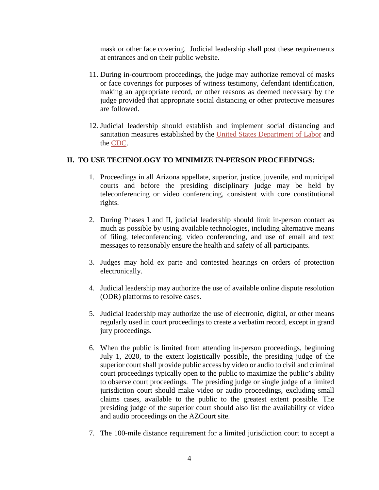mask or other face covering. Judicial leadership shall post these requirements at entrances and on their public website.

- 11. During in-courtroom proceedings, the judge may authorize removal of masks or face coverings for purposes of witness testimony, defendant identification, making an appropriate record, or other reasons as deemed necessary by the judge provided that appropriate social distancing or other protective measures are followed.
- 12. Judicial leadership should establish and implement social distancing and sanitation measures established by the [United States Department of Labor](https://www.osha.gov/Publications/OSHA3990.pdf) and the [CDC.](https://www.cdc.gov/coronavirus/2019-ncov/prevent-getting-sick/cleaning-disinfection.html?CDC_AA_refVal=https%3A%2F%2Fwww.cdc.gov%2Fcoronavirus%2F2019-ncov%2Fprepare%2Fcleaning-disinfection.html)

### **II. TO USE TECHNOLOGY TO MINIMIZE IN-PERSON PROCEEDINGS:**

- 1. Proceedings in all Arizona appellate, superior, justice, juvenile, and municipal courts and before the presiding disciplinary judge may be held by teleconferencing or video conferencing, consistent with core constitutional rights.
- 2. During Phases I and II, judicial leadership should limit in-person contact as much as possible by using available technologies, including alternative means of filing, teleconferencing, video conferencing, and use of email and text messages to reasonably ensure the health and safety of all participants.
- 3. Judges may hold ex parte and contested hearings on orders of protection electronically.
- 4. Judicial leadership may authorize the use of available online dispute resolution (ODR) platforms to resolve cases.
- 5. Judicial leadership may authorize the use of electronic, digital, or other means regularly used in court proceedings to create a verbatim record, except in grand jury proceedings.
- 6. When the public is limited from attending in-person proceedings, beginning July 1, 2020, to the extent logistically possible, the presiding judge of the superior court shall provide public access by video or audio to civil and criminal court proceedings typically open to the public to maximize the public's ability to observe court proceedings. The presiding judge or single judge of a limited jurisdiction court should make video or audio proceedings, excluding small claims cases, available to the public to the greatest extent possible. The presiding judge of the superior court should also list the availability of video and audio proceedings on the AZCourt site.
- 7. The 100-mile distance requirement for a limited jurisdiction court to accept a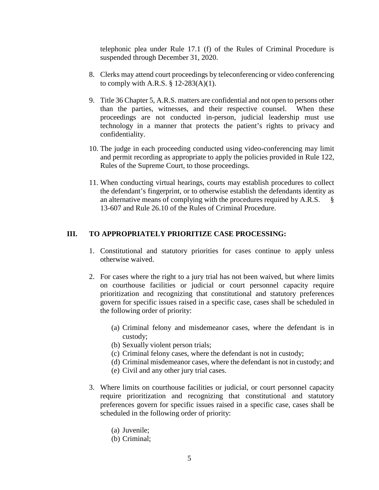telephonic plea under Rule 17.1 (f) of the Rules of Criminal Procedure is suspended through December 31, 2020.

- 8. Clerks may attend court proceedings by teleconferencing or video conferencing to comply with A.R.S.  $\S$  12-283(A)(1).
- 9. Title 36 Chapter 5, A.R.S. matters are confidential and not open to persons other than the parties, witnesses, and their respective counsel. When these proceedings are not conducted in-person, judicial leadership must use technology in a manner that protects the patient's rights to privacy and confidentiality.
- 10. The judge in each proceeding conducted using video-conferencing may limit and permit recording as appropriate to apply the policies provided in Rule 122, Rules of the Supreme Court, to those proceedings.
- 11. When conducting virtual hearings, courts may establish procedures to collect the defendant's fingerprint, or to otherwise establish the defendants identity as an alternative means of complying with the procedures required by A.R.S. § 13-607 and Rule 26.10 of the Rules of Criminal Procedure.

#### **III. TO APPROPRIATELY PRIORITIZE CASE PROCESSING:**

- 1. Constitutional and statutory priorities for cases continue to apply unless otherwise waived.
- 2. For cases where the right to a jury trial has not been waived, but where limits on courthouse facilities or judicial or court personnel capacity require prioritization and recognizing that constitutional and statutory preferences govern for specific issues raised in a specific case, cases shall be scheduled in the following order of priority:
	- (a) Criminal felony and misdemeanor cases, where the defendant is in custody;
	- (b) Sexually violent person trials;
	- (c) Criminal felony cases, where the defendant is not in custody;
	- (d) Criminal misdemeanor cases, where the defendant is not in custody; and
	- (e) Civil and any other jury trial cases.
- 3. Where limits on courthouse facilities or judicial, or court personnel capacity require prioritization and recognizing that constitutional and statutory preferences govern for specific issues raised in a specific case, cases shall be scheduled in the following order of priority:
	- (a) Juvenile;
	- (b) Criminal;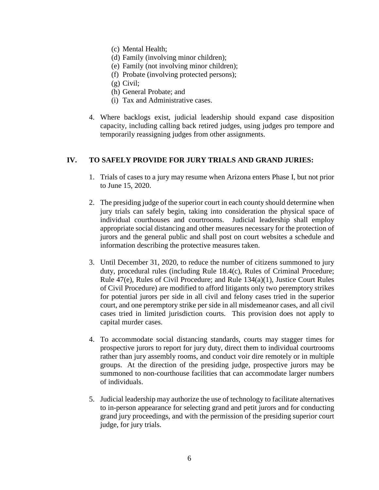- (c) Mental Health;
- (d) Family (involving minor children);
- (e) Family (not involving minor children);
- (f) Probate (involving protected persons);
- (g) Civil;
- (h) General Probate; and
- (i) Tax and Administrative cases.
- 4. Where backlogs exist, judicial leadership should expand case disposition capacity, including calling back retired judges, using judges pro tempore and temporarily reassigning judges from other assignments.

### **IV. TO SAFELY PROVIDE FOR JURY TRIALS AND GRAND JURIES:**

- 1. Trials of cases to a jury may resume when Arizona enters Phase I, but not prior to June 15, 2020.
- 2. The presiding judge of the superior court in each county should determine when jury trials can safely begin, taking into consideration the physical space of individual courthouses and courtrooms. Judicial leadership shall employ appropriate social distancing and other measures necessary for the protection of jurors and the general public and shall post on court websites a schedule and information describing the protective measures taken.
- 3. Until December 31, 2020, to reduce the number of citizens summoned to jury duty, procedural rules (including Rule 18.4(c), Rules of Criminal Procedure; Rule 47(e), Rules of Civil Procedure; and Rule 134(a)(1), Justice Court Rules of Civil Procedure) are modified to afford litigants only two peremptory strikes for potential jurors per side in all civil and felony cases tried in the superior court, and one peremptory strike per side in all misdemeanor cases, and all civil cases tried in limited jurisdiction courts. This provision does not apply to capital murder cases.
- 4. To accommodate social distancing standards, courts may stagger times for prospective jurors to report for jury duty, direct them to individual courtrooms rather than jury assembly rooms, and conduct voir dire remotely or in multiple groups. At the direction of the presiding judge, prospective jurors may be summoned to non-courthouse facilities that can accommodate larger numbers of individuals.
- 5. Judicial leadership may authorize the use of technology to facilitate alternatives to in-person appearance for selecting grand and petit jurors and for conducting grand jury proceedings, and with the permission of the presiding superior court judge, for jury trials.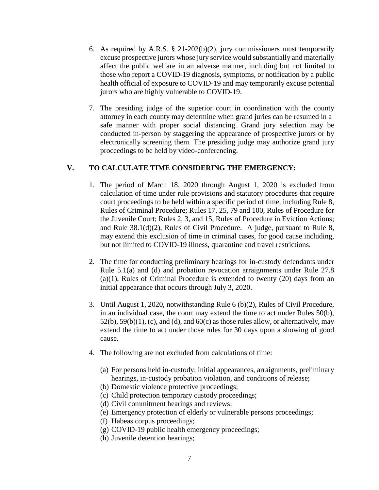- 6. As required by A.R.S. § 21-202(b)(2), jury commissioners must temporarily excuse prospective jurors whose jury service would substantially and materially affect the public welfare in an adverse manner, including but not limited to those who report a COVID-19 diagnosis, symptoms, or notification by a public health official of exposure to COVID-19 and may temporarily excuse potential jurors who are highly vulnerable to COVID-19.
- 7. The presiding judge of the superior court in coordination with the county attorney in each county may determine when grand juries can be resumed in a safe manner with proper social distancing. Grand jury selection may be conducted in-person by staggering the appearance of prospective jurors or by electronically screening them. The presiding judge may authorize grand jury proceedings to be held by video-conferencing.

### **V. TO CALCULATE TIME CONSIDERING THE EMERGENCY:**

- 1. The period of March 18, 2020 through August 1, 2020 is excluded from calculation of time under rule provisions and statutory procedures that require court proceedings to be held within a specific period of time, including Rule 8, Rules of Criminal Procedure; Rules 17, 25, 79 and 100, Rules of Procedure for the Juvenile Court; Rules 2, 3, and 15, Rules of Procedure in Eviction Actions; and Rule 38.1(d)(2), Rules of Civil Procedure. A judge, pursuant to Rule 8, may extend this exclusion of time in criminal cases, for good cause including, but not limited to COVID-19 illness, quarantine and travel restrictions.
- 2. The time for conducting preliminary hearings for in-custody defendants under Rule 5.1(a) and (d) and probation revocation arraignments under Rule 27.8 (a)(1), Rules of Criminal Procedure is extended to twenty (20) days from an initial appearance that occurs through July 3, 2020.
- 3. Until August 1, 2020, notwithstanding Rule 6 (b)(2), Rules of Civil Procedure, in an individual case, the court may extend the time to act under Rules 50(b),  $52(b)$ ,  $59(b)(1)$ , (c), and (d), and  $60(c)$  as those rules allow, or alternatively, may extend the time to act under those rules for 30 days upon a showing of good cause.
- 4. The following are not excluded from calculations of time:
	- (a) For persons held in-custody: initial appearances, arraignments, preliminary hearings, in-custody probation violation, and conditions of release;
	- (b) Domestic violence protective proceedings;
	- (c) Child protection temporary custody proceedings;
	- (d) Civil commitment hearings and reviews;
	- (e) Emergency protection of elderly or vulnerable persons proceedings;
	- (f) Habeas corpus proceedings;
	- (g) COVID-19 public health emergency proceedings;
	- (h) Juvenile detention hearings;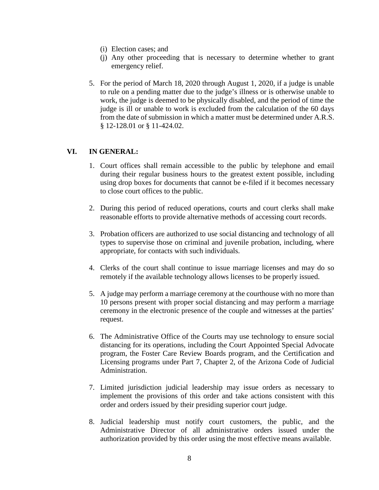- (i) Election cases; and
- (j) Any other proceeding that is necessary to determine whether to grant emergency relief.
- 5. For the period of March 18, 2020 through August 1, 2020, if a judge is unable to rule on a pending matter due to the judge's illness or is otherwise unable to work, the judge is deemed to be physically disabled, and the period of time the judge is ill or unable to work is excluded from the calculation of the 60 days from the date of submission in which a matter must be determined under A.R.S. § 12-128.01 or § 11-424.02.

### **VI. IN GENERAL:**

- 1. Court offices shall remain accessible to the public by telephone and email during their regular business hours to the greatest extent possible, including using drop boxes for documents that cannot be e-filed if it becomes necessary to close court offices to the public.
- 2. During this period of reduced operations, courts and court clerks shall make reasonable efforts to provide alternative methods of accessing court records.
- 3. Probation officers are authorized to use social distancing and technology of all types to supervise those on criminal and juvenile probation, including, where appropriate, for contacts with such individuals.
- 4. Clerks of the court shall continue to issue marriage licenses and may do so remotely if the available technology allows licenses to be properly issued.
- 5. A judge may perform a marriage ceremony at the courthouse with no more than 10 persons present with proper social distancing and may perform a marriage ceremony in the electronic presence of the couple and witnesses at the parties' request.
- 6. The Administrative Office of the Courts may use technology to ensure social distancing for its operations, including the Court Appointed Special Advocate program, the Foster Care Review Boards program, and the Certification and Licensing programs under Part 7, Chapter 2, of the Arizona Code of Judicial Administration.
- 7. Limited jurisdiction judicial leadership may issue orders as necessary to implement the provisions of this order and take actions consistent with this order and orders issued by their presiding superior court judge.
- 8. Judicial leadership must notify court customers, the public, and the Administrative Director of all administrative orders issued under the authorization provided by this order using the most effective means available.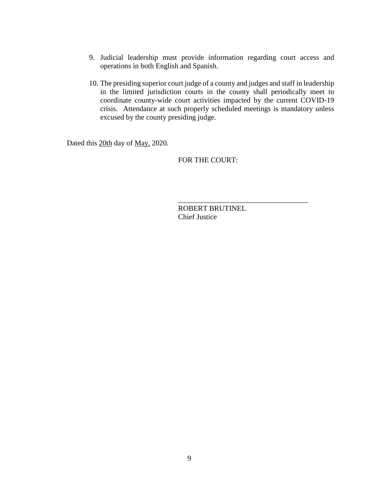- 9. Judicial leadership must provide information regarding court access and operations in both English and Spanish.
- 10. The presiding superior court judge of a county and judges and staff in leadership in the limited jurisdiction courts in the county shall periodically meet to coordinate county-wide court activities impacted by the current COVID-19 crisis. Attendance at such properly scheduled meetings is mandatory unless excused by the county presiding judge.

Dated this 20th day of May, 2020.

FOR THE COURT:

ROBERT BRUTINEL Chief Justice

\_\_\_\_\_\_\_\_\_\_\_\_\_\_\_\_\_\_\_\_\_\_\_\_\_\_\_\_\_\_\_\_\_\_\_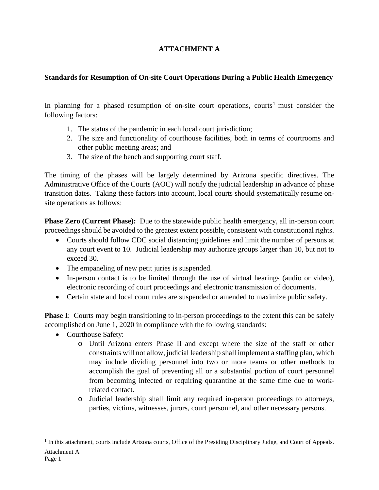# **ATTACHMENT A**

# **Standards for Resumption of On-site Court Operations During a Public Health Emergency**

In planning for a phased resumption of on-site court operations, courts<sup>[1](#page-9-0)</sup> must consider the following factors:

- 1. The status of the pandemic in each local court jurisdiction;
- 2. The size and functionality of courthouse facilities, both in terms of courtrooms and other public meeting areas; and
- 3. The size of the bench and supporting court staff.

The timing of the phases will be largely determined by Arizona specific directives. The Administrative Office of the Courts (AOC) will notify the judicial leadership in advance of phase transition dates. Taking these factors into account, local courts should systematically resume onsite operations as follows:

**Phase Zero (Current Phase):** Due to the statewide public health emergency, all in-person court proceedings should be avoided to the greatest extent possible, consistent with constitutional rights.

- Courts should follow CDC social distancing guidelines and limit the number of persons at any court event to 10. Judicial leadership may authorize groups larger than 10, but not to exceed 30.
- The empaneling of new petit juries is suspended.
- In-person contact is to be limited through the use of virtual hearings (audio or video), electronic recording of court proceedings and electronic transmission of documents.
- Certain state and local court rules are suspended or amended to maximize public safety.

**Phase I**: Courts may begin transitioning to in-person proceedings to the extent this can be safely accomplished on June 1, 2020 in compliance with the following standards:

- Courthouse Safety:
	- o Until Arizona enters Phase II and except where the size of the staff or other constraints will not allow, judicial leadership shall implement a staffing plan, which may include dividing personnel into two or more teams or other methods to accomplish the goal of preventing all or a substantial portion of court personnel from becoming infected or requiring quarantine at the same time due to workrelated contact.
	- o Judicial leadership shall limit any required in-person proceedings to attorneys, parties, victims, witnesses, jurors, court personnel, and other necessary persons.

<span id="page-9-0"></span>Attachment A <sup>1</sup> In this attachment, courts include Arizona courts, Office of the Presiding Disciplinary Judge, and Court of Appeals.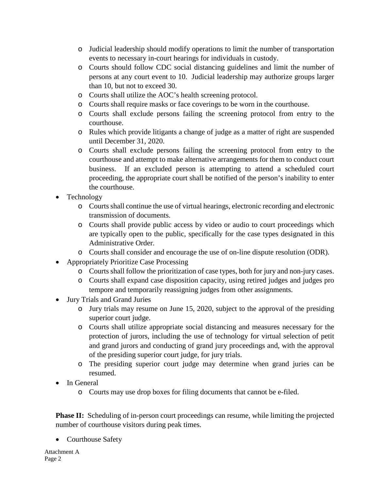- o Judicial leadership should modify operations to limit the number of transportation events to necessary in-court hearings for individuals in custody.
- o Courts should follow CDC social distancing guidelines and limit the number of persons at any court event to 10. Judicial leadership may authorize groups larger than 10, but not to exceed 30.
- o Courts shall utilize the AOC's health screening protocol.
- o Courts shall require masks or face coverings to be worn in the courthouse.
- o Courts shall exclude persons failing the screening protocol from entry to the courthouse.
- o Rules which provide litigants a change of judge as a matter of right are suspended until December 31, 2020.
- o Courts shall exclude persons failing the screening protocol from entry to the courthouse and attempt to make alternative arrangements for them to conduct court business. If an excluded person is attempting to attend a scheduled court proceeding, the appropriate court shall be notified of the person's inability to enter the courthouse.
- Technology
	- o Courts shall continue the use of virtual hearings, electronic recording and electronic transmission of documents.
	- o Courts shall provide public access by video or audio to court proceedings which are typically open to the public, specifically for the case types designated in this Administrative Order.
	- o Courts shall consider and encourage the use of on-line dispute resolution (ODR).
- Appropriately Prioritize Case Processing
	- o Courts shall follow the prioritization of case types, both for jury and non-jury cases.
	- o Courts shall expand case disposition capacity, using retired judges and judges pro tempore and temporarily reassigning judges from other assignments.
- Jury Trials and Grand Juries
	- o Jury trials may resume on June 15, 2020, subject to the approval of the presiding superior court judge.
	- o Courts shall utilize appropriate social distancing and measures necessary for the protection of jurors, including the use of technology for virtual selection of petit and grand jurors and conducting of grand jury proceedings and, with the approval of the presiding superior court judge, for jury trials.
	- o The presiding superior court judge may determine when grand juries can be resumed.
- In General
	- o Courts may use drop boxes for filing documents that cannot be e-filed.

**Phase II:** Scheduling of in-person court proceedings can resume, while limiting the projected number of courthouse visitors during peak times.

• Courthouse Safety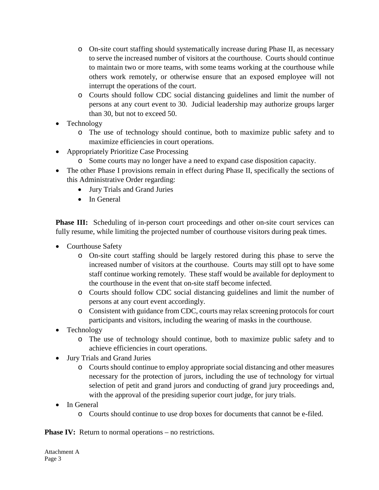- o On-site court staffing should systematically increase during Phase II, as necessary to serve the increased number of visitors at the courthouse. Courts should continue to maintain two or more teams, with some teams working at the courthouse while others work remotely, or otherwise ensure that an exposed employee will not interrupt the operations of the court.
- o Courts should follow CDC social distancing guidelines and limit the number of persons at any court event to 30. Judicial leadership may authorize groups larger than 30, but not to exceed 50.
- Technology
	- o The use of technology should continue, both to maximize public safety and to maximize efficiencies in court operations.
- Appropriately Prioritize Case Processing
	- o Some courts may no longer have a need to expand case disposition capacity.
- The other Phase I provisions remain in effect during Phase II, specifically the sections of this Administrative Order regarding:
	- Jury Trials and Grand Juries
	- In General

**Phase III:** Scheduling of in-person court proceedings and other on-site court services can fully resume, while limiting the projected number of courthouse visitors during peak times.

- Courthouse Safety
	- o On-site court staffing should be largely restored during this phase to serve the increased number of visitors at the courthouse. Courts may still opt to have some staff continue working remotely. These staff would be available for deployment to the courthouse in the event that on-site staff become infected.
	- o Courts should follow CDC social distancing guidelines and limit the number of persons at any court event accordingly.
	- o Consistent with guidance from CDC, courts may relax screening protocols for court participants and visitors, including the wearing of masks in the courthouse.
- Technology
	- o The use of technology should continue, both to maximize public safety and to achieve efficiencies in court operations.
- Jury Trials and Grand Juries
	- o Courts should continue to employ appropriate social distancing and other measures necessary for the protection of jurors, including the use of technology for virtual selection of petit and grand jurors and conducting of grand jury proceedings and, with the approval of the presiding superior court judge, for jury trials.
- In General
	- o Courts should continue to use drop boxes for documents that cannot be e-filed.

**Phase IV:** Return to normal operations – no restrictions.

Attachment A Page 3